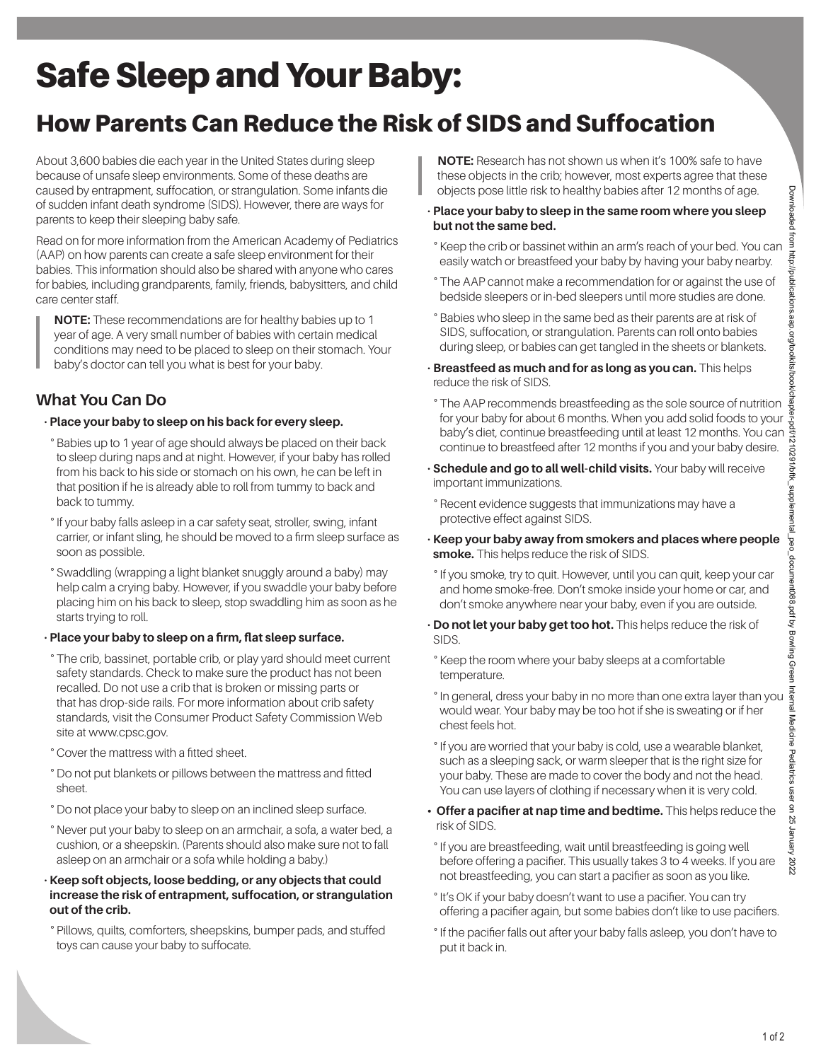# Safe Sleep and Your Baby:

# How Parents Can Reduce the Risk of SIDS and Suffocation

About 3,600 babies die each year in the United States during sleep because of unsafe sleep environments. Some of these deaths are caused by entrapment, suffocation, or strangulation. Some infants die of sudden infant death syndrome (SIDS). However, there are ways for parents to keep their sleeping baby safe.

Read on for more information from the American Academy of Pediatrics (AAP) on how parents can create a safe sleep environment for their babies. This information should also be shared with anyone who cares for babies, including grandparents, family, friends, babysitters, and child care center staff.

**NOTE:** These recommendations are for healthy babies up to 1 year of age. A very small number of babies with certain medical conditions may need to be placed to sleep on their stomach. Your baby's doctor can tell you what is best for your baby.

### **What You Can Do**

#### • **Place your baby to sleep on his back for every sleep.**

° Babies up to 1 year of age should always be placed on their back to sleep during naps and at night. However, if your baby has rolled from his back to his side or stomach on his own, he can be left in that position if he is already able to roll from tummy to back and back to tummy.

- ° If your baby falls asleep in a car safety seat, stroller, swing, infant carrier, or infant sling, he should be moved to a firm sleep surface as soon as possible.
- ° Swaddling (wrapping a light blanket snuggly around a baby) may help calm a crying baby. However, if you swaddle your baby before placing him on his back to sleep, stop swaddling him as soon as he starts trying to roll.

#### • **Place your baby to sleep on a firm, flat sleep surface.**

- ° The crib, bassinet, portable crib, or play yard should meet current safety standards. Check to make sure the product has not been recalled. Do not use a crib that is broken or missing parts or that has drop-side rails. For more information about crib safety standards, visit the Consumer Product Safety Commission Web site at www.cpsc.gov.
- ° Cover the mattress with a fitted sheet.
- ° Do not put blankets or pillows between the mattress and fitted sheet.
- ° Do not place your baby to sleep on an inclined sleep surface.
- ° Never put your baby to sleep on an armchair, a sofa, a water bed, a cushion, or a sheepskin. (Parents should also make sure not to fall asleep on an armchair or a sofa while holding a baby.)

#### • **Keep soft objects, loose bedding, or any objects that could increase the risk of entrapment, suffocation, or strangulation out of the crib.**

° Pillows, quilts, comforters, sheepskins, bumper pads, and stuffed toys can cause your baby to suffocate.

**NOTE:** Research has not shown us when it's 100% safe to have these objects in the crib; however, most experts agree that these objects pose little risk to healthy babies after 12 months of age.

- **Place your baby to sleep in the same room where you sleep but not the same bed.**
- ° Keep the crib or bassinet within an arm's reach of your bed. You can easily watch or breastfeed your baby by having your baby nearby.
- ° The AAP cannot make a recommendation for or against the use of bedside sleepers or in-bed sleepers until more studies are done.
- ° Babies who sleep in the same bed as their parents are at risk of SIDS, suffocation, or strangulation. Parents can roll onto babies during sleep, or babies can get tangled in the sheets or blankets.
- **Breastfeed as much and for as long as you can.** This helps reduce the risk of SIDS.
- ° The AAP recommends breastfeeding as the sole source of nutrition for your baby for about 6 months. When you add solid foods to your baby's diet, continue breastfeeding until at least 12 months. You can continue to breastfeed after 12 months if you and your baby desire.
- **Schedule and go to all well-child visits.** Your baby will receive important immunizations.
- ° Recent evidence suggests that immunizations may have a protective effect against SIDS.
- **Keep your baby away from smokers and places where people smoke.** This helps reduce the risk of SIDS.
- ° If you smoke, try to quit. However, until you can quit, keep your car and home smoke-free. Don't smoke inside your home or car, and don't smoke anywhere near your baby, even if you are outside.
- **Do not let your baby get too hot.** This helps reduce the risk of SIDS.
- ° Keep the room where your baby sleeps at a comfortable temperature.
- ° In general, dress your baby in no more than one extra layer than you would wear. Your baby may be too hot if she is sweating or if her chest feels hot.
- ° If you are worried that your baby is cold, use a wearable blanket, such as a sleeping sack, or warm sleeper that is the right size for your baby. These are made to cover the body and not the head. You can use layers of clothing if necessary when it is very cold.
- **Offer a pacifier at nap time and bedtime.** This helps reduce the risk of SIDS.
- ° If you are breastfeeding, wait until breastfeeding is going well before offering a pacifier. This usually takes 3 to 4 weeks. If you are not breastfeeding, you can start a pacifier as soon as you like.
- ° It's OK if your baby doesn't want to use a pacifier. You can try offering a pacifier again, but some babies don't like to use pacifiers.
- ° If the pacifier falls out after your baby falls asleep, you don't have to put it back in.